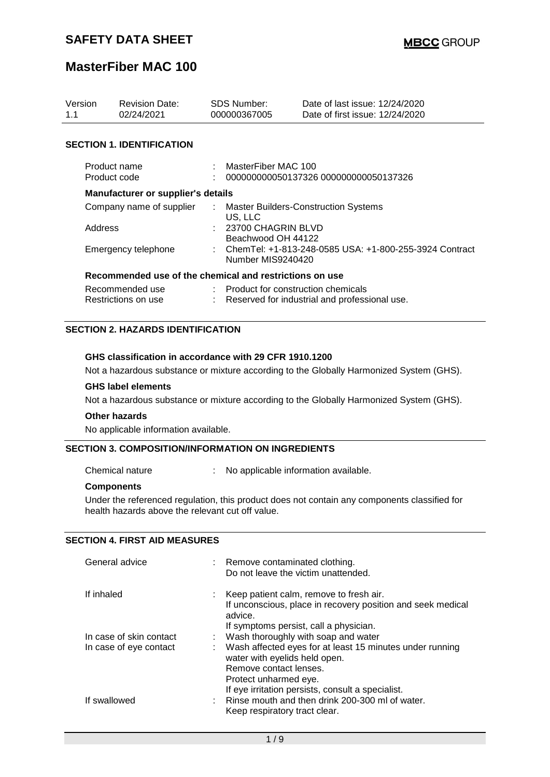## **MasterFiber MAC 100**

| Version<br>1.1 |                                           | <b>Revision Date:</b><br>02/24/2021                     |    | <b>SDS Number:</b><br>000000367005                                                  | Date of last issue: 12/24/2020<br>Date of first issue: 12/24/2020 |  |  |
|----------------|-------------------------------------------|---------------------------------------------------------|----|-------------------------------------------------------------------------------------|-------------------------------------------------------------------|--|--|
|                |                                           | <b>SECTION 1. IDENTIFICATION</b>                        |    |                                                                                     |                                                                   |  |  |
|                | Product name<br>Product code              |                                                         |    | MasterFiber MAC 100                                                                 | 000000000050137326 000000000050137326                             |  |  |
|                | <b>Manufacturer or supplier's details</b> |                                                         |    |                                                                                     |                                                                   |  |  |
|                | Company name of supplier                  |                                                         | ÷. | <b>Master Builders-Construction Systems</b><br>US, LLC                              |                                                                   |  |  |
|                | Address                                   |                                                         |    | : 23700 CHAGRIN BLVD<br>Beachwood OH 44122                                          |                                                                   |  |  |
|                | Emergency telephone                       |                                                         |    | : ChemTel: +1-813-248-0585 USA: +1-800-255-3924 Contract<br>Number MIS9240420       |                                                                   |  |  |
|                |                                           | Recommended use of the chemical and restrictions on use |    |                                                                                     |                                                                   |  |  |
|                | Recommended use<br>Restrictions on use    |                                                         |    | Product for construction chemicals<br>Reserved for industrial and professional use. |                                                                   |  |  |

#### **SECTION 2. HAZARDS IDENTIFICATION**

#### **GHS classification in accordance with 29 CFR 1910.1200**

Not a hazardous substance or mixture according to the Globally Harmonized System (GHS).

#### **GHS label elements**

Not a hazardous substance or mixture according to the Globally Harmonized System (GHS).

#### **Other hazards**

No applicable information available.

#### **SECTION 3. COMPOSITION/INFORMATION ON INGREDIENTS**

Chemical nature : No applicable information available.

#### **Components**

Under the referenced regulation, this product does not contain any components classified for health hazards above the relevant cut off value.

#### **SECTION 4. FIRST AID MEASURES**

| General advice          | : Remove contaminated clothing.<br>Do not leave the victim unattended.                                            |
|-------------------------|-------------------------------------------------------------------------------------------------------------------|
| If inhaled              | Keep patient calm, remove to fresh air.<br>If unconscious, place in recovery position and seek medical<br>advice. |
|                         | If symptoms persist, call a physician.                                                                            |
| In case of skin contact | Wash thoroughly with soap and water                                                                               |
| In case of eye contact  | Wash affected eyes for at least 15 minutes under running<br>water with eyelids held open.                         |
|                         | Remove contact lenses.                                                                                            |
|                         | Protect unharmed eye.                                                                                             |
|                         | If eye irritation persists, consult a specialist.                                                                 |
| If swallowed            | Rinse mouth and then drink 200-300 ml of water.                                                                   |
|                         | Keep respiratory tract clear.                                                                                     |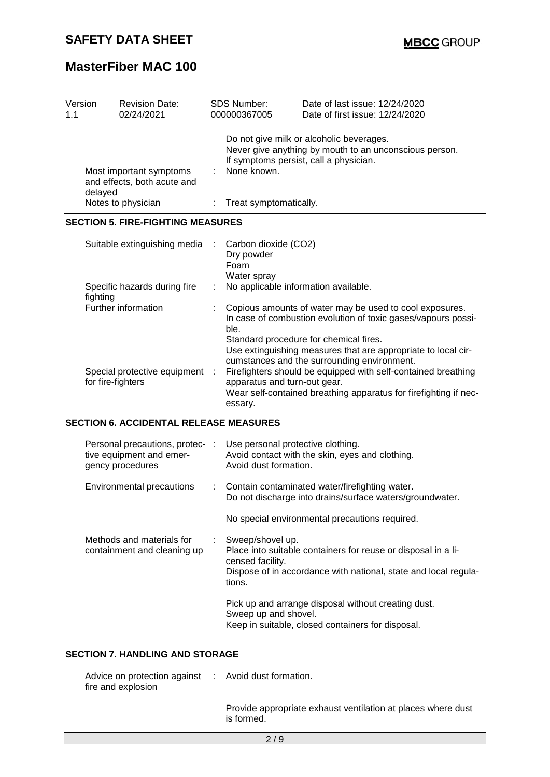# **MasterFiber MAC 100**

| Version<br>1.1                                                                  | <b>Revision Date:</b><br>02/24/2021           |  | SDS Number:<br>000000367005                               | Date of last issue: 12/24/2020<br>Date of first issue: 12/24/2020                                                                                                                                                                                                                  |
|---------------------------------------------------------------------------------|-----------------------------------------------|--|-----------------------------------------------------------|------------------------------------------------------------------------------------------------------------------------------------------------------------------------------------------------------------------------------------------------------------------------------------|
| Most important symptoms<br>and effects, both acute and<br>delayed               |                                               |  | None known.                                               | Do not give milk or alcoholic beverages.<br>Never give anything by mouth to an unconscious person.<br>If symptoms persist, call a physician.                                                                                                                                       |
|                                                                                 | Notes to physician                            |  | Treat symptomatically.                                    |                                                                                                                                                                                                                                                                                    |
|                                                                                 | <b>SECTION 5. FIRE-FIGHTING MEASURES</b>      |  |                                                           |                                                                                                                                                                                                                                                                                    |
|                                                                                 | Suitable extinguishing media                  |  | Carbon dioxide (CO2)<br>Dry powder<br>Foam<br>Water spray |                                                                                                                                                                                                                                                                                    |
|                                                                                 | Specific hazards during fire<br>fighting      |  |                                                           | No applicable information available.                                                                                                                                                                                                                                               |
| Further information<br>Special protective equipment<br>for fire-fighters        |                                               |  | ble.                                                      | Copious amounts of water may be used to cool exposures.<br>In case of combustion evolution of toxic gases/vapours possi-<br>Standard procedure for chemical fires.<br>Use extinguishing measures that are appropriate to local cir-<br>cumstances and the surrounding environment. |
|                                                                                 |                                               |  | apparatus and turn-out gear.<br>essary.                   | Firefighters should be equipped with self-contained breathing<br>Wear self-contained breathing apparatus for firefighting if nec-                                                                                                                                                  |
|                                                                                 | <b>SECTION 6. ACCIDENTAL RELEASE MEASURES</b> |  |                                                           |                                                                                                                                                                                                                                                                                    |
| Personal precautions, protec- :<br>tive equipment and emer-<br>gency procedures |                                               |  | Avoid dust formation.                                     | Use personal protective clothing.<br>Avoid contact with the skin, eyes and clothing.                                                                                                                                                                                               |
| <b>Environmental precautions</b>                                                |                                               |  |                                                           | Contain contaminated water/firefighting water.                                                                                                                                                                                                                                     |

Do not discharge into drains/surface waters/groundwater.

| No special environmental precautions required. |  |  |
|------------------------------------------------|--|--|
|------------------------------------------------|--|--|

| Methods and materials for<br>containment and cleaning up | Sweep/shovel up.<br>Place into suitable containers for reuse or disposal in a li-<br>censed facility.<br>Dispose of in accordance with national, state and local regula-<br>tions. |
|----------------------------------------------------------|------------------------------------------------------------------------------------------------------------------------------------------------------------------------------------|
|                                                          | Pick up and arrange disposal without creating dust.<br>Sweep up and shovel.<br>Keep in suitable, closed containers for disposal.                                                   |

## **SECTION 7. HANDLING AND STORAGE**

| Advice on protection against | : Avoid dust formation. |
|------------------------------|-------------------------|
| fire and explosion           |                         |

Provide appropriate exhaust ventilation at places where dust is formed.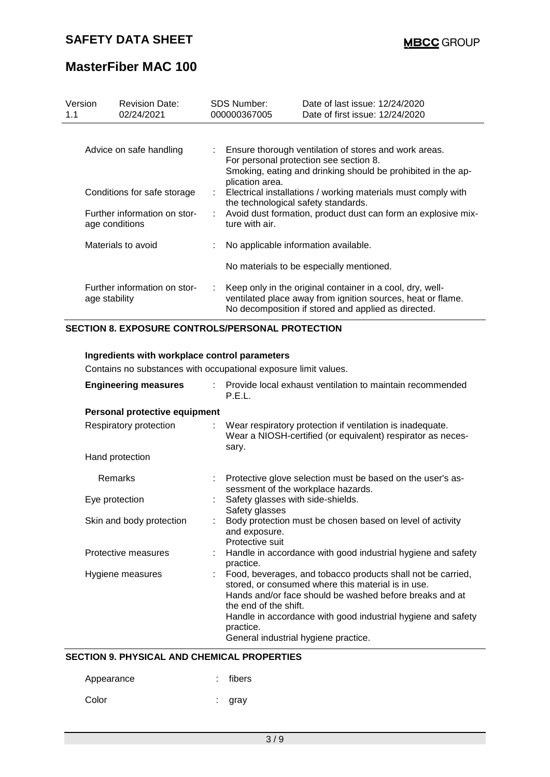# **MasterFiber MAC 100**

| Version<br>1.1                                                                |                    | <b>Revision Date:</b><br>02/24/2021                     |                                                                                                                           | <b>SDS Number:</b><br>000000367005       | Date of last issue: 12/24/2020<br>Date of first issue: 12/24/2020                                                                                                               |  |  |  |
|-------------------------------------------------------------------------------|--------------------|---------------------------------------------------------|---------------------------------------------------------------------------------------------------------------------------|------------------------------------------|---------------------------------------------------------------------------------------------------------------------------------------------------------------------------------|--|--|--|
| Advice on safe handling                                                       |                    | : Ensure thorough ventilation of stores and work areas. |                                                                                                                           |                                          |                                                                                                                                                                                 |  |  |  |
|                                                                               |                    |                                                         | For personal protection see section 8.<br>Smoking, eating and drinking should be prohibited in the ap-<br>plication area. |                                          |                                                                                                                                                                                 |  |  |  |
| Conditions for safe storage<br>Further information on stor-<br>age conditions |                    | ÷.                                                      | Electrical installations / working materials must comply with<br>the technological safety standards.                      |                                          |                                                                                                                                                                                 |  |  |  |
|                                                                               |                    |                                                         | Avoid dust formation, product dust can form an explosive mix-<br>ture with air.                                           |                                          |                                                                                                                                                                                 |  |  |  |
|                                                                               | Materials to avoid |                                                         |                                                                                                                           | No applicable information available.     |                                                                                                                                                                                 |  |  |  |
|                                                                               |                    |                                                         |                                                                                                                           | No materials to be especially mentioned. |                                                                                                                                                                                 |  |  |  |
|                                                                               | age stability      | Further information on stor-                            |                                                                                                                           |                                          | Keep only in the original container in a cool, dry, well-<br>ventilated place away from ignition sources, heat or flame.<br>No decomposition if stored and applied as directed. |  |  |  |

### **SECTION 8. EXPOSURE CONTROLS/PERSONAL PROTECTION**

| Ingredients with workplace control parameters                   |                                                                                                                                                                                                                                                                                                                              |  |  |  |  |  |  |
|-----------------------------------------------------------------|------------------------------------------------------------------------------------------------------------------------------------------------------------------------------------------------------------------------------------------------------------------------------------------------------------------------------|--|--|--|--|--|--|
| Contains no substances with occupational exposure limit values. |                                                                                                                                                                                                                                                                                                                              |  |  |  |  |  |  |
| <b>Engineering measures</b>                                     | Provide local exhaust ventilation to maintain recommended<br>P.E.L.                                                                                                                                                                                                                                                          |  |  |  |  |  |  |
| Personal protective equipment                                   |                                                                                                                                                                                                                                                                                                                              |  |  |  |  |  |  |
| Respiratory protection                                          | : Wear respiratory protection if ventilation is inadequate.<br>Wear a NIOSH-certified (or equivalent) respirator as neces-<br>sary.                                                                                                                                                                                          |  |  |  |  |  |  |
| Hand protection                                                 |                                                                                                                                                                                                                                                                                                                              |  |  |  |  |  |  |
| Remarks                                                         | Protective glove selection must be based on the user's as-<br>sessment of the workplace hazards.                                                                                                                                                                                                                             |  |  |  |  |  |  |
| Eye protection                                                  | Safety glasses with side-shields.<br>Safety glasses                                                                                                                                                                                                                                                                          |  |  |  |  |  |  |
| Skin and body protection                                        | Body protection must be chosen based on level of activity<br>and exposure.<br>Protective suit                                                                                                                                                                                                                                |  |  |  |  |  |  |
| Protective measures                                             | : Handle in accordance with good industrial hygiene and safety<br>practice.                                                                                                                                                                                                                                                  |  |  |  |  |  |  |
| Hygiene measures                                                | : Food, beverages, and tobacco products shall not be carried,<br>stored, or consumed where this material is in use.<br>Hands and/or face should be washed before breaks and at<br>the end of the shift.<br>Handle in accordance with good industrial hygiene and safety<br>practice.<br>General industrial hygiene practice. |  |  |  |  |  |  |

### **SECTION 9. PHYSICAL AND CHEMICAL PROPERTIES**

| Appearance | : fibers |
|------------|----------|
| Color      | : gray   |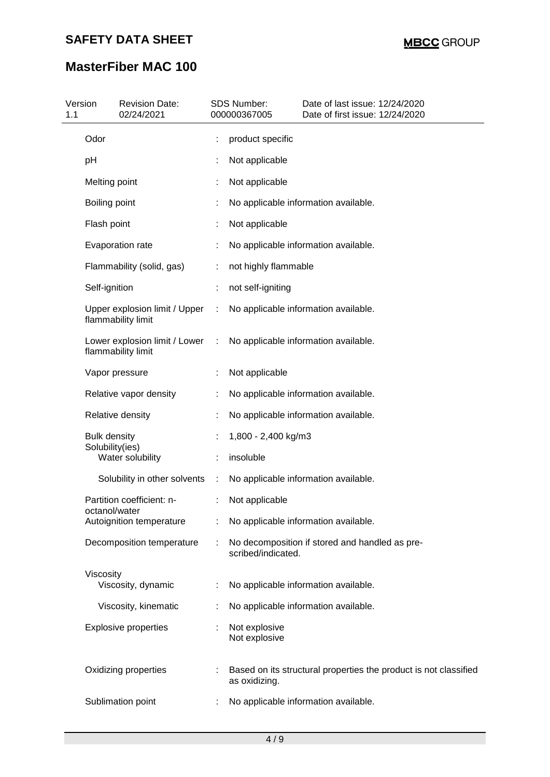# **MasterFiber MAC 100**

| 1.1 | Version                                | <b>Revision Date:</b><br>02/24/2021                 |   | SDS Number:<br>000000367005    | Date of last issue: 12/24/2020<br>Date of first issue: 12/24/2020 |
|-----|----------------------------------------|-----------------------------------------------------|---|--------------------------------|-------------------------------------------------------------------|
|     | Odor                                   |                                                     |   | product specific               |                                                                   |
|     | pH                                     |                                                     |   | Not applicable                 |                                                                   |
|     | Melting point                          |                                                     |   | Not applicable                 |                                                                   |
|     | Boiling point                          |                                                     |   |                                | No applicable information available.                              |
|     | Flash point                            |                                                     |   | Not applicable                 |                                                                   |
|     |                                        | Evaporation rate                                    |   |                                | No applicable information available.                              |
|     |                                        | Flammability (solid, gas)                           |   | not highly flammable           |                                                                   |
|     | Self-ignition                          |                                                     |   | not self-igniting              |                                                                   |
|     |                                        | Upper explosion limit / Upper<br>flammability limit | ÷ |                                | No applicable information available.                              |
|     |                                        | Lower explosion limit / Lower<br>flammability limit | ÷ |                                | No applicable information available.                              |
|     |                                        | Vapor pressure                                      |   | Not applicable                 |                                                                   |
|     |                                        | Relative vapor density                              |   |                                | No applicable information available.                              |
|     |                                        | Relative density                                    |   |                                | No applicable information available.                              |
|     | <b>Bulk density</b><br>Solubility(ies) |                                                     |   | 1,800 - 2,400 kg/m3            |                                                                   |
|     |                                        | Water solubility                                    |   | insoluble                      |                                                                   |
|     |                                        | Solubility in other solvents                        | ÷ |                                | No applicable information available.                              |
|     | octanol/water                          | Partition coefficient: n-                           |   | Not applicable                 |                                                                   |
|     |                                        | Autoignition temperature                            |   |                                | No applicable information available.                              |
|     |                                        | Decomposition temperature                           |   | scribed/indicated.             | No decomposition if stored and handled as pre-                    |
|     | Viscosity                              | Viscosity, dynamic                                  |   |                                | No applicable information available.                              |
|     |                                        | Viscosity, kinematic                                |   |                                | No applicable information available.                              |
|     |                                        | <b>Explosive properties</b>                         |   | Not explosive<br>Not explosive |                                                                   |
|     |                                        | Oxidizing properties                                |   | as oxidizing.                  | Based on its structural properties the product is not classified  |
|     |                                        | Sublimation point                                   |   |                                | No applicable information available.                              |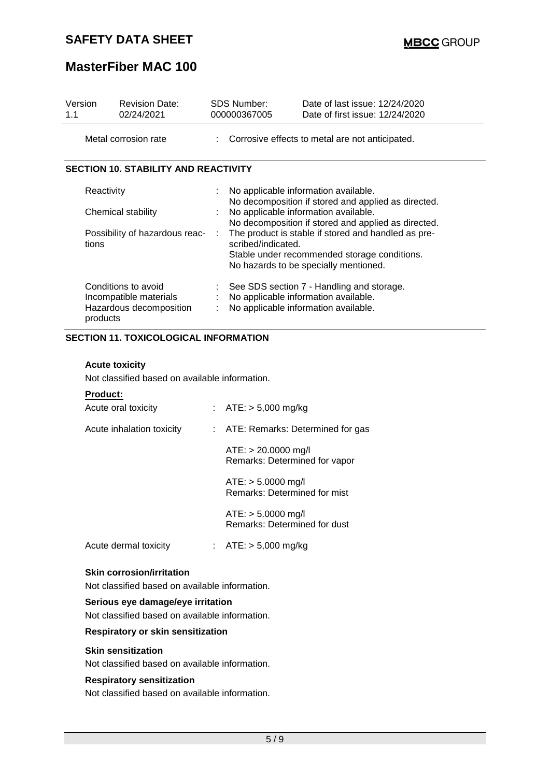# **MasterFiber MAC 100**

| Version<br>1.1 |                      | <b>Revision Date:</b><br>02/24/2021                                      |   | SDS Number:<br>000000367005                                                                                                                                                                                                                                                                                                                                      | Date of last issue: 12/24/2020<br>Date of first issue: 12/24/2020                                                         |
|----------------|----------------------|--------------------------------------------------------------------------|---|------------------------------------------------------------------------------------------------------------------------------------------------------------------------------------------------------------------------------------------------------------------------------------------------------------------------------------------------------------------|---------------------------------------------------------------------------------------------------------------------------|
|                | Metal corrosion rate |                                                                          |   |                                                                                                                                                                                                                                                                                                                                                                  | : Corrosive effects to metal are not anticipated.                                                                         |
|                |                      | <b>SECTION 10. STABILITY AND REACTIVITY</b>                              |   |                                                                                                                                                                                                                                                                                                                                                                  |                                                                                                                           |
|                | Reactivity<br>tions  | Chemical stability<br>Possibility of hazardous reac-                     | ÷ | No applicable information available.<br>No decomposition if stored and applied as directed.<br>No applicable information available.<br>No decomposition if stored and applied as directed.<br>The product is stable if stored and handled as pre-<br>scribed/indicated.<br>Stable under recommended storage conditions.<br>No hazards to be specially mentioned. |                                                                                                                           |
|                | products             | Conditions to avoid<br>Incompatible materials<br>Hazardous decomposition |   |                                                                                                                                                                                                                                                                                                                                                                  | See SDS section 7 - Handling and storage.<br>No applicable information available.<br>No applicable information available. |

#### **SECTION 11. TOXICOLOGICAL INFORMATION**

#### **Acute toxicity**

Not classified based on available information.

#### **Product:**

| Acute oral toxicity              |  | : $ATE: > 5,000 \text{ mg/kg}$                         |  |  |  |  |
|----------------------------------|--|--------------------------------------------------------|--|--|--|--|
| Acute inhalation toxicity        |  | : ATE: Remarks: Determined for gas                     |  |  |  |  |
|                                  |  | $ATE: > 20.0000$ mg/l<br>Remarks: Determined for vapor |  |  |  |  |
|                                  |  | $ATE: > 5.0000$ mg/l<br>Remarks: Determined for mist   |  |  |  |  |
|                                  |  | $ATE: > 5.0000$ mg/l<br>Remarks: Determined for dust   |  |  |  |  |
| Acute dermal toxicity            |  | : $ATE: > 5,000 \text{ mg/kg}$                         |  |  |  |  |
| <b>Skin corrosion/irritation</b> |  |                                                        |  |  |  |  |

## Not classified based on available information.

#### **Serious eye damage/eye irritation**

Not classified based on available information.

#### **Respiratory or skin sensitization**

#### **Skin sensitization**

Not classified based on available information.

#### **Respiratory sensitization**

Not classified based on available information.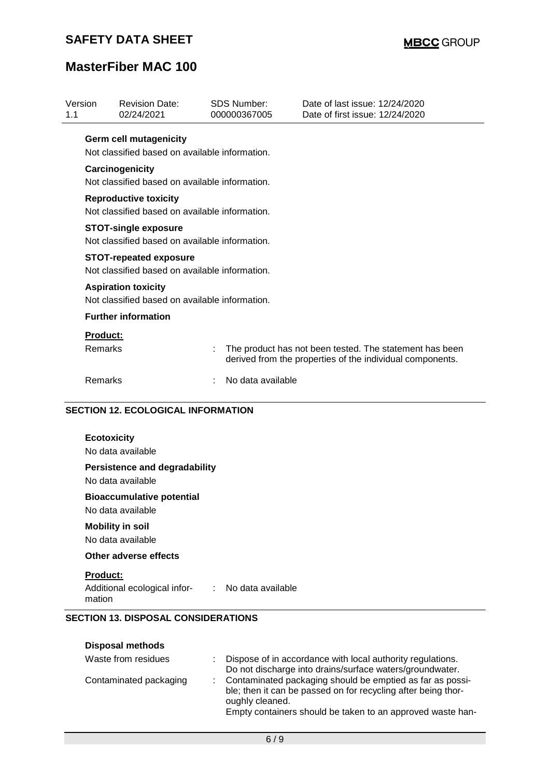# **MasterFiber MAC 100**

| Version<br>1.1  | <b>Revision Date:</b><br>02/24/2021            | <b>SDS Number:</b><br>000000367005 | Date of last issue: 12/24/2020<br>Date of first issue: 12/24/2020                                                    |
|-----------------|------------------------------------------------|------------------------------------|----------------------------------------------------------------------------------------------------------------------|
|                 | <b>Germ cell mutagenicity</b>                  |                                    |                                                                                                                      |
|                 | Not classified based on available information. |                                    |                                                                                                                      |
|                 | Carcinogenicity                                |                                    |                                                                                                                      |
|                 | Not classified based on available information. |                                    |                                                                                                                      |
|                 | <b>Reproductive toxicity</b>                   |                                    |                                                                                                                      |
|                 | Not classified based on available information. |                                    |                                                                                                                      |
|                 | <b>STOT-single exposure</b>                    |                                    |                                                                                                                      |
|                 | Not classified based on available information. |                                    |                                                                                                                      |
|                 | <b>STOT-repeated exposure</b>                  |                                    |                                                                                                                      |
|                 | Not classified based on available information. |                                    |                                                                                                                      |
|                 | <b>Aspiration toxicity</b>                     |                                    |                                                                                                                      |
|                 | Not classified based on available information. |                                    |                                                                                                                      |
|                 | <b>Further information</b>                     |                                    |                                                                                                                      |
| <b>Product:</b> |                                                |                                    |                                                                                                                      |
| Remarks         |                                                |                                    | The product has not been tested. The statement has been<br>derived from the properties of the individual components. |
|                 | Remarks                                        | No data available                  |                                                                                                                      |

| <b>Ecotoxicity</b>                                        |                                                  |
|-----------------------------------------------------------|--------------------------------------------------|
| No data available                                         |                                                  |
| <b>Persistence and degradability</b><br>No data available |                                                  |
| <b>Bioaccumulative potential</b><br>No data available     |                                                  |
| <b>Mobility in soil</b><br>No data available              |                                                  |
| Other adverse effects                                     |                                                  |
| <b>Product:</b><br>mation                                 |                                                  |
|                                                           | Additional ecological infor- : No data available |

| <b>Disposal methods</b> |                                                                                                                                                                                                               |
|-------------------------|---------------------------------------------------------------------------------------------------------------------------------------------------------------------------------------------------------------|
| Waste from residues     | Dispose of in accordance with local authority regulations.<br>Do not discharge into drains/surface waters/groundwater.                                                                                        |
| Contaminated packaging  | : Contaminated packaging should be emptied as far as possi-<br>ble; then it can be passed on for recycling after being thor-<br>oughly cleaned.<br>Empty containers should be taken to an approved waste han- |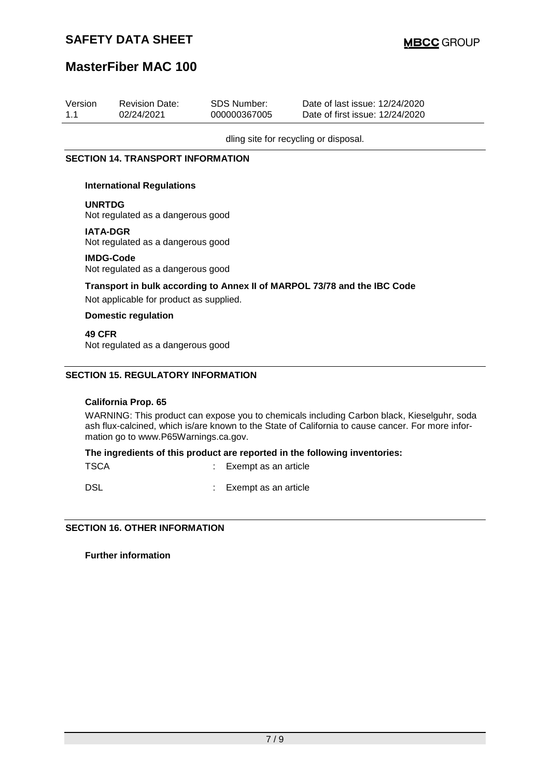# **MasterFiber MAC 100**

| Version<br>1.1                              | <b>Revision Date:</b><br>02/24/2021                                                                                 | <b>SDS Number:</b><br>000000367005 | Date of last issue: 12/24/2020<br>Date of first issue: 12/24/2020                                                                                                                               |  |  |  |  |
|---------------------------------------------|---------------------------------------------------------------------------------------------------------------------|------------------------------------|-------------------------------------------------------------------------------------------------------------------------------------------------------------------------------------------------|--|--|--|--|
|                                             |                                                                                                                     |                                    | dling site for recycling or disposal.                                                                                                                                                           |  |  |  |  |
|                                             | <b>SECTION 14. TRANSPORT INFORMATION</b>                                                                            |                                    |                                                                                                                                                                                                 |  |  |  |  |
|                                             | <b>International Regulations</b>                                                                                    |                                    |                                                                                                                                                                                                 |  |  |  |  |
|                                             | <b>UNRTDG</b><br>Not regulated as a dangerous good                                                                  |                                    |                                                                                                                                                                                                 |  |  |  |  |
|                                             | <b>IATA-DGR</b><br>Not regulated as a dangerous good                                                                |                                    |                                                                                                                                                                                                 |  |  |  |  |
|                                             | <b>IMDG-Code</b><br>Not regulated as a dangerous good                                                               |                                    |                                                                                                                                                                                                 |  |  |  |  |
|                                             | Transport in bulk according to Annex II of MARPOL 73/78 and the IBC Code<br>Not applicable for product as supplied. |                                    |                                                                                                                                                                                                 |  |  |  |  |
| <b>Domestic regulation</b>                  |                                                                                                                     |                                    |                                                                                                                                                                                                 |  |  |  |  |
| 49 CFR<br>Not regulated as a dangerous good |                                                                                                                     |                                    |                                                                                                                                                                                                 |  |  |  |  |
|                                             | <b>SECTION 15. REGULATORY INFORMATION</b>                                                                           |                                    |                                                                                                                                                                                                 |  |  |  |  |
|                                             | <b>California Prop. 65</b>                                                                                          |                                    |                                                                                                                                                                                                 |  |  |  |  |
|                                             | mation go to www.P65Warnings.ca.gov.                                                                                |                                    | WARNING: This product can expose you to chemicals including Carbon black, Kieselguhr, soda<br>ash flux-calcined, which is/are known to the State of California to cause cancer. For more infor- |  |  |  |  |
|                                             | The ingredients of this product are reported in the following inventories:                                          |                                    |                                                                                                                                                                                                 |  |  |  |  |

**The ingredients of this product are reported in the following inventories:**

| <b>TSCA</b> |  | Exempt as an article |
|-------------|--|----------------------|
|-------------|--|----------------------|

DSL **DSL** : Exempt as an article

**SECTION 16. OTHER INFORMATION**

**Further information**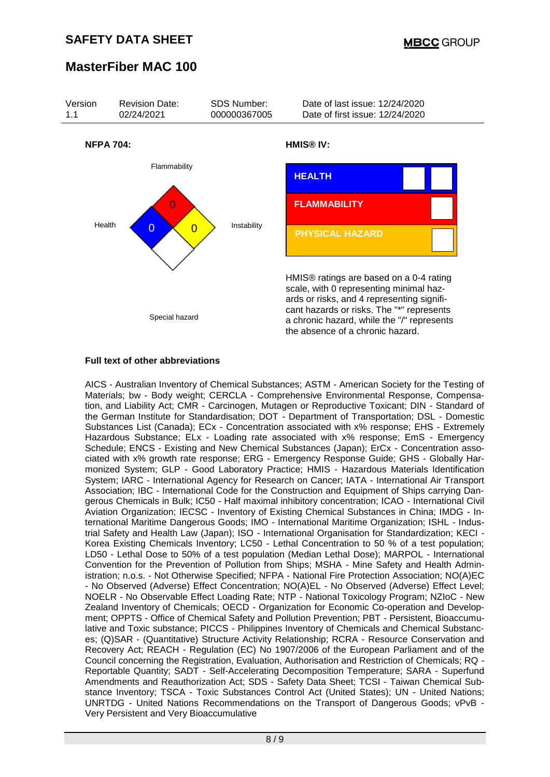# **MasterFiber MAC 100**



#### **Full text of other abbreviations**

AICS - Australian Inventory of Chemical Substances; ASTM - American Society for the Testing of Materials; bw - Body weight; CERCLA - Comprehensive Environmental Response, Compensation, and Liability Act; CMR - Carcinogen, Mutagen or Reproductive Toxicant; DIN - Standard of the German Institute for Standardisation; DOT - Department of Transportation; DSL - Domestic Substances List (Canada); ECx - Concentration associated with x% response; EHS - Extremely Hazardous Substance; ELx - Loading rate associated with x% response; EmS - Emergency Schedule; ENCS - Existing and New Chemical Substances (Japan); ErCx - Concentration associated with x% growth rate response; ERG - Emergency Response Guide; GHS - Globally Harmonized System; GLP - Good Laboratory Practice; HMIS - Hazardous Materials Identification System; IARC - International Agency for Research on Cancer; IATA - International Air Transport Association; IBC - International Code for the Construction and Equipment of Ships carrying Dangerous Chemicals in Bulk; IC50 - Half maximal inhibitory concentration; ICAO - International Civil Aviation Organization; IECSC - Inventory of Existing Chemical Substances in China; IMDG - International Maritime Dangerous Goods; IMO - International Maritime Organization; ISHL - Industrial Safety and Health Law (Japan); ISO - International Organisation for Standardization; KECI - Korea Existing Chemicals Inventory; LC50 - Lethal Concentration to 50 % of a test population; LD50 - Lethal Dose to 50% of a test population (Median Lethal Dose); MARPOL - International Convention for the Prevention of Pollution from Ships; MSHA - Mine Safety and Health Administration; n.o.s. - Not Otherwise Specified; NFPA - National Fire Protection Association; NO(A)EC - No Observed (Adverse) Effect Concentration; NO(A)EL - No Observed (Adverse) Effect Level; NOELR - No Observable Effect Loading Rate; NTP - National Toxicology Program; NZIoC - New Zealand Inventory of Chemicals; OECD - Organization for Economic Co-operation and Development; OPPTS - Office of Chemical Safety and Pollution Prevention; PBT - Persistent, Bioaccumulative and Toxic substance; PICCS - Philippines Inventory of Chemicals and Chemical Substances; (Q)SAR - (Quantitative) Structure Activity Relationship; RCRA - Resource Conservation and Recovery Act; REACH - Regulation (EC) No 1907/2006 of the European Parliament and of the Council concerning the Registration, Evaluation, Authorisation and Restriction of Chemicals; RQ - Reportable Quantity; SADT - Self-Accelerating Decomposition Temperature; SARA - Superfund Amendments and Reauthorization Act; SDS - Safety Data Sheet; TCSI - Taiwan Chemical Substance Inventory; TSCA - Toxic Substances Control Act (United States); UN - United Nations; UNRTDG - United Nations Recommendations on the Transport of Dangerous Goods; vPvB - Very Persistent and Very Bioaccumulative